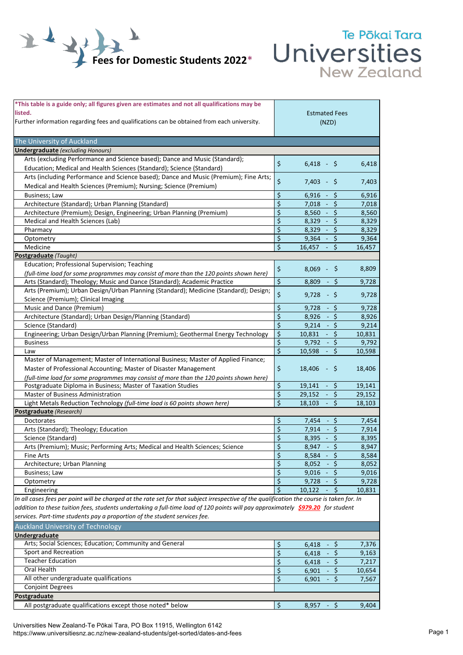

## Te Pōkai Tara Universities

| *This table is a guide only; all figures given are estimates and not all qualifications may be<br>listed.<br>Further information regarding fees and qualifications can be obtained from each university. |    | <b>Estmated Fees</b><br>(NZD)                       |        |
|----------------------------------------------------------------------------------------------------------------------------------------------------------------------------------------------------------|----|-----------------------------------------------------|--------|
| The University of Auckland                                                                                                                                                                               |    |                                                     |        |
| <b>Undergraduate</b> (excluding Honours)                                                                                                                                                                 |    |                                                     |        |
| Arts (excluding Performance and Science based); Dance and Music (Standard);                                                                                                                              |    |                                                     |        |
| Education; Medical and Health Sciences (Standard); Science (Standard)                                                                                                                                    | \$ | $6,418 - $$                                         | 6,418  |
| Arts (including Performance and Science based); Dance and Music (Premium); Fine Arts;                                                                                                                    |    |                                                     |        |
| Medical and Health Sciences (Premium); Nursing; Science (Premium)                                                                                                                                        | \$ | $7,403 - $$                                         | 7,403  |
| Business; Law                                                                                                                                                                                            | \$ | \$<br>6,916<br>$\sim$                               | 6,916  |
| Architecture (Standard); Urban Planning (Standard)                                                                                                                                                       | \$ | $\zeta$<br>7.018<br>$\sim$ $^{-1}$                  | 7,018  |
| Architecture (Premium); Design, Engineering; Urban Planning (Premium)                                                                                                                                    | \$ | $8,560 -$<br>\$                                     | 8,560  |
| Medical and Health Sciences (Lab)                                                                                                                                                                        | \$ | \$<br>$8,329 -$                                     | 8,329  |
| Pharmacy                                                                                                                                                                                                 | \$ | \$<br>$8,329 -$                                     | 8,329  |
|                                                                                                                                                                                                          | \$ |                                                     |        |
| Optometry                                                                                                                                                                                                | Ś  | $9,364 -$<br>\$                                     | 9,364  |
| Medicine                                                                                                                                                                                                 |    | 16,457<br>S                                         | 16,457 |
| Postgraduate (Taught)                                                                                                                                                                                    |    |                                                     |        |
| Education; Professional Supervision; Teaching                                                                                                                                                            | \$ | $8,069 - $$                                         | 8,809  |
| (full-time load for some programmes may consist of more than the 120 points shown here)                                                                                                                  |    |                                                     |        |
| Arts (Standard); Theology; Music and Dance (Standard); Academic Practice                                                                                                                                 | \$ | - \$<br>8.809                                       | 9,728  |
| Arts (Premium); Urban Design/Urban Planning (Standard); Medicine (Standard); Design;                                                                                                                     | \$ | $9,728 - 5$                                         | 9,728  |
| Science (Premium); Clinical Imaging                                                                                                                                                                      |    |                                                     |        |
| Music and Dance (Premium)                                                                                                                                                                                | \$ | \$.<br>9,728                                        | 9,728  |
| Architecture (Standard); Urban Design/Planning (Standard)                                                                                                                                                | \$ | $-5$<br>8,926                                       | 8,926  |
| Science (Standard)                                                                                                                                                                                       | \$ | 9,214<br>$-5$                                       | 9,214  |
| Engineering; Urban Design/Urban Planning (Premium); Geothermal Energy Technology                                                                                                                         | \$ | 10,831<br>\$.<br>$\sim$                             | 10,831 |
| <b>Business</b>                                                                                                                                                                                          | \$ | 9,792<br>\$<br>$\sim$                               | 9,792  |
| Law                                                                                                                                                                                                      | \$ | $\mathsf{\hat{S}}$<br>10,598<br>$\omega_{\rm{eff}}$ | 10,598 |
| Master of Management; Master of International Business; Master of Applied Finance;                                                                                                                       |    |                                                     |        |
| Master of Professional Accounting; Master of Disaster Management                                                                                                                                         | \$ | 18,406<br>- \$                                      | 18,406 |
| (full-time load for some programmes may consist of more than the 120 points shown here)                                                                                                                  |    |                                                     |        |
| Postgraduate Diploma in Business; Master of Taxation Studies                                                                                                                                             | \$ | 19,141<br>- \$                                      | 19,141 |
| Master of Business Administration                                                                                                                                                                        | \$ | 29,152<br>\$<br>$\blacksquare$                      | 29,152 |
| Light Metals Reduction Technology (full-time load is 60 points shown here)                                                                                                                               | \$ | $\mathsf{\hat{S}}$<br>$18,103 -$                    | 18,103 |
| Postgraduate (Research)                                                                                                                                                                                  |    |                                                     |        |
| Doctorates                                                                                                                                                                                               | \$ | Ŝ.<br>7,454<br>$\sim$                               | 7,454  |
| Arts (Standard); Theology; Education                                                                                                                                                                     | \$ | \$<br>7,914                                         | 7,914  |
| Science (Standard)                                                                                                                                                                                       | \$ | $\zeta$<br>$8,395 -$                                | 8,395  |
| Arts (Premium); Music; Performing Arts; Medical and Health Sciences; Science                                                                                                                             | \$ | $8,947 - 5$                                         | 8,947  |
| Fine Arts                                                                                                                                                                                                | \$ | $8,584 - $$                                         | 8,584  |
| Architecture; Urban Planning                                                                                                                                                                             | \$ | $8,052 - $$                                         | 8,052  |
| Business; Law                                                                                                                                                                                            | \$ | 9,016<br>$-5$                                       | 9,016  |
| Optometry                                                                                                                                                                                                | \$ | 9,728<br>\$                                         | 9,728  |
| Engineering                                                                                                                                                                                              | Ś  | \$<br>10,122                                        | 10,831 |
| In all cases fees per point will be charged at the rate set for that subject irrespective of the qualification the course is taken for. In                                                               |    |                                                     |        |
| addition to these tuition fees, students undertaking a full-time load of 120 points will pay approximately \$979.20 for student                                                                          |    |                                                     |        |
| services. Part-time students pay a proportion of the student services fee.                                                                                                                               |    |                                                     |        |
| <b>Auckland University of Technology</b>                                                                                                                                                                 |    |                                                     |        |
| Undergraduate                                                                                                                                                                                            |    |                                                     |        |
| Arts; Social Sciences; Education; Community and General                                                                                                                                                  | \$ | 6,418<br>\$                                         | 7,376  |
| Sport and Recreation                                                                                                                                                                                     | \$ | $-5$<br>6,418                                       | 9,163  |
| <b>Teacher Education</b>                                                                                                                                                                                 | \$ | $-5$<br>6,418                                       | 7,217  |
| Oral Health                                                                                                                                                                                              | \$ | - \$<br>6,901                                       | 10,654 |
| All other undergraduate qualifications                                                                                                                                                                   | \$ | 6,901<br>\$                                         | 7,567  |
| <b>Conjoint Degrees</b>                                                                                                                                                                                  |    |                                                     |        |
| <b>Postgraduate</b>                                                                                                                                                                                      |    |                                                     |        |
| All postgraduate qualifications except those noted* below                                                                                                                                                | \$ | $-$ \$<br>8,957                                     | 9,404  |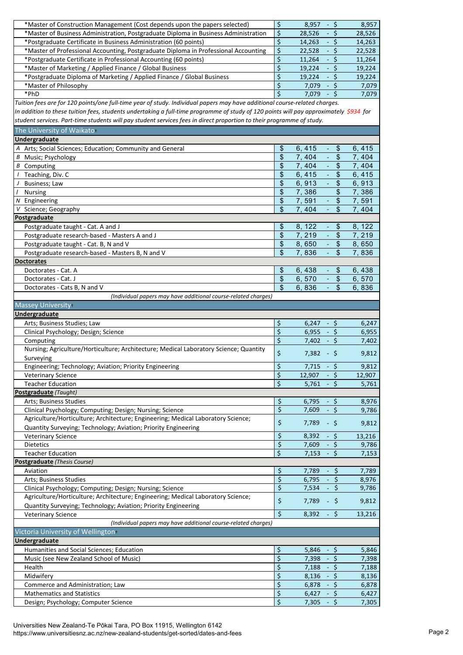| *Master of Construction Management (Cost depends upon the papers selected)                                                            | \$                        | 8,957<br>- \$                                         | 8,957          |
|---------------------------------------------------------------------------------------------------------------------------------------|---------------------------|-------------------------------------------------------|----------------|
| *Master of Business Administration, Postgraduate Diploma in Business Administration                                                   | \$                        | 28,526<br>- \$                                        | 28,526         |
| *Postgraduate Certificate in Business Administration (60 points)                                                                      | \$                        | 14,263<br>- \$                                        | 14,263         |
| *Master of Professional Accounting, Postgraduate Diploma in Professional Accounting                                                   | \$                        | 22,528<br>- \$                                        | 22,528         |
| *Postgraduate Certificate in Professional Accounting (60 points)                                                                      | \$                        | 11,264<br>- \$                                        | 11,264         |
| *Master of Marketing / Applied Finance / Global Business                                                                              | \$                        | $-5$<br>19,224                                        | 19,224         |
| *Postgraduate Diploma of Marketing / Applied Finance / Global Business                                                                | \$                        | - \$<br>19,224                                        | 19,224         |
| *Master of Philosophy                                                                                                                 | \$                        | 7,079<br>- \$                                         | 7,079          |
|                                                                                                                                       | \$                        |                                                       |                |
| *PhD                                                                                                                                  |                           | $\mathsf{S}$<br>7,079<br>$\omega$                     | 7,079          |
| Tuition fees are for 120 points/one full-time year of study. Individual papers may have additional course-related charges.            |                           |                                                       |                |
| In addition to these tuition fees, students undertaking a full-time programme of study of 120 points will pay approximately \$934 for |                           |                                                       |                |
| student services. Part-time students will pay student services fees in direct proportion to their programme of study.                 |                           |                                                       |                |
| The University of Waikato+                                                                                                            |                           |                                                       |                |
| Undergraduate                                                                                                                         |                           |                                                       |                |
| A Arts; Social Sciences; Education; Community and General                                                                             | \$                        | 6,415<br>\$<br>$\overline{\phantom{a}}$               | 6,415          |
|                                                                                                                                       | \$                        | 7,404<br>\$<br>$\Box$                                 | 7,404          |
| <b>B</b> Music; Psychology                                                                                                            | $\sqrt[6]{\frac{1}{2}}$   | $\mathbb{Z}$                                          |                |
| <b>B</b> Computing                                                                                                                    |                           | 7,404<br>$\frac{1}{2}$                                | 7,404          |
| / Teaching, Div. C                                                                                                                    | $\boldsymbol{\mathsf{S}}$ | $\mathbb{Z}$<br>6,415<br>$\frac{1}{2}$                | 6,415          |
| J<br>Business; Law                                                                                                                    | \$                        | 6,913<br>\$<br>$\omega$                               | 6,913          |
| $\prime$<br><b>Nursing</b>                                                                                                            | \$                        | 7,386<br>\$                                           | 7,386          |
| $N$ Engineering                                                                                                                       | $\sqrt[6]{\frac{1}{2}}$   | 7,591<br>$\frac{1}{2}$<br>$\omega$                    | 7,591          |
| Science; Geography<br>v                                                                                                               | $\mathfrak{L}$            | 7,404<br>\$                                           | 7,404          |
| Postgraduate                                                                                                                          |                           |                                                       |                |
| Postgraduate taught - Cat. A and J                                                                                                    | $\sqrt[6]{\frac{1}{2}}$   | 8, 122<br>\$<br>$\omega$                              | 8, 122         |
| Postgraduate research-based - Masters A and J                                                                                         | $\boldsymbol{\mathsf{S}}$ | 7,219<br>÷,<br>$\frac{1}{2}$                          | 7,219          |
| Postgraduate taught - Cat. B, N and V                                                                                                 | \$                        | 8,650<br>$\frac{1}{2}$<br>$\mathcal{L}_{\mathcal{A}}$ | 8,650          |
|                                                                                                                                       | $\mathfrak{s}$            |                                                       |                |
| Postgraduate research-based - Masters B, N and V                                                                                      |                           | \$<br>7,836<br>$\equiv$                               | 7,836          |
| <b>Doctorates</b>                                                                                                                     |                           |                                                       |                |
| Doctorates - Cat. A                                                                                                                   | $\mathfrak{s}$            | 6,438<br>\$<br>$\overline{\phantom{a}}$               | 6,438          |
| Doctorates - Cat. J                                                                                                                   | \$                        | 6,570<br>\$<br>$\blacksquare$                         | 6,570          |
| Doctorates - Cats B, N and V                                                                                                          | $\mathfrak{s}$            | $\omega_{\rm c}$<br>6,836<br>$\frac{1}{2}$            | 6,836          |
| (Individual papers may have additional course-related charges)                                                                        |                           |                                                       |                |
| Massey University+                                                                                                                    |                           |                                                       |                |
| Undergraduate                                                                                                                         |                           |                                                       |                |
| Arts; Business Studies; Law                                                                                                           | \$                        | $6,247 - 5$                                           | 6,247          |
|                                                                                                                                       | \$                        | 6,955<br>$-5$                                         |                |
| Clinical Psychology; Design; Science                                                                                                  |                           |                                                       | 6,955          |
| Computing                                                                                                                             | \$                        | 7,402<br>$-5$                                         | 7,402          |
| Nursing; Agriculture/Horticulture; Architecture; Medical Laboratory Science; Quantity                                                 | \$                        | $7,382 - 5$                                           | 9,812          |
| Surveying                                                                                                                             |                           |                                                       |                |
| Engineering; Technology; Aviation; Priority Engineering                                                                               | $\varsigma$               | $\boldsymbol{\dot{\varsigma}}$<br>$7,715 -$           | 9,812          |
| <b>Veterinary Science</b>                                                                                                             | \$                        | $-5$<br>12,907                                        | 12,907         |
| <b>Teacher Education</b>                                                                                                              | \$                        | 5,761<br>- \$                                         | 5,761          |
| Postgraduate (Taught)                                                                                                                 |                           |                                                       |                |
| Arts; Business Studies                                                                                                                | \$                        | 6,795<br>- \$                                         | 8,976          |
| Clinical Psychology; Computing; Design; Nursing; Science                                                                              | $\overline{\xi}$          | 7,609<br>- \$                                         | 9,786          |
| Agriculture/Horticulture; Architecture; Engineering; Medical Laboratory Science;                                                      |                           |                                                       |                |
| Quantity Surveying; Technology; Aviation; Priority Engineering                                                                        | \$                        | 7,789<br>- \$                                         | 9,812          |
|                                                                                                                                       | \$                        | 8,392                                                 |                |
| <b>Veterinary Science</b>                                                                                                             |                           | - \$                                                  | 13,216         |
| Dietetics                                                                                                                             | \$                        | 7,609<br>- \$                                         | 9,786          |
| <b>Teacher Education</b>                                                                                                              | $\overline{\xi}$          | $-5$<br>7,153                                         | 7,153          |
| Postgraduate (Thesis Course)                                                                                                          |                           |                                                       |                |
| Aviation                                                                                                                              | \$                        | 7,789<br>- \$                                         | 7,789          |
| Arts; Business Studies                                                                                                                | \$                        | 6,795<br>\$                                           | 8,976          |
| Clinical Psychology; Computing; Design; Nursing; Science                                                                              | \$                        | $-5$<br>7,534                                         | 9,786          |
| Agriculture/Horticulture; Architecture; Engineering; Medical Laboratory Science;                                                      |                           |                                                       |                |
| Quantity Surveying; Technology; Aviation; Priority Engineering                                                                        | \$                        | 7,789<br>$-$ \$                                       | 9,812          |
| <b>Veterinary Science</b>                                                                                                             | \$                        | $-5$<br>8,392                                         | 13,216         |
|                                                                                                                                       |                           |                                                       |                |
| (Individual papers may have additional course-related charges)                                                                        |                           |                                                       |                |
| Victoria University of Wellington+                                                                                                    |                           |                                                       |                |
|                                                                                                                                       |                           |                                                       |                |
| Undergraduate                                                                                                                         |                           |                                                       |                |
| Humanities and Social Sciences; Education                                                                                             | \$                        | - \$<br>5,846                                         | 5,846          |
| Music (see New Zealand School of Music)                                                                                               | \$                        | 7,398<br>- \$                                         | 7,398          |
| Health                                                                                                                                | \$                        | - \$<br>7,188                                         | 7,188          |
| Midwifery                                                                                                                             |                           | $-5$<br>8,136                                         | 8,136          |
| Commerce and Administration; Law                                                                                                      | \$                        | 6,878<br>-\$<br>$\omega_{\rm c}$                      | 6,878          |
|                                                                                                                                       | \$                        |                                                       |                |
| <b>Mathematics and Statistics</b><br>Design; Psychology; Computer Science                                                             | \$<br>\$                  | 6,427<br>- \$<br>7,305<br>- \$                        | 6,427<br>7,305 |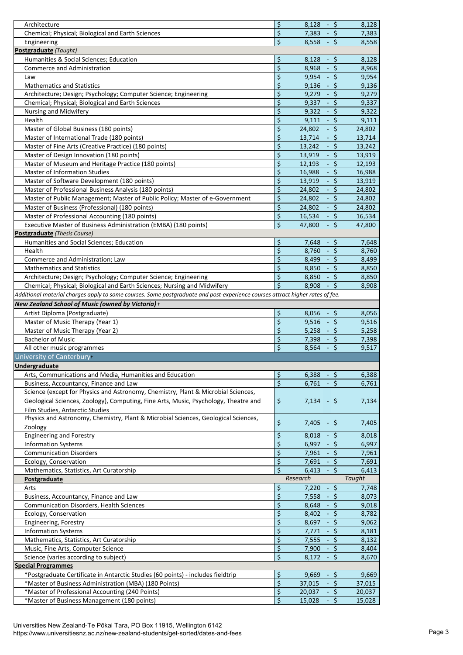| Architecture                                                                                                                  | \$<br>$-5$<br>8,128                    | 8,128         |
|-------------------------------------------------------------------------------------------------------------------------------|----------------------------------------|---------------|
| Chemical; Physical; Biological and Earth Sciences                                                                             | \$<br>7,383<br>\$<br>$\sim$            | 7,383         |
|                                                                                                                               | \$<br>- \$                             |               |
| Engineering                                                                                                                   | 8,558                                  | 8,558         |
| Postgraduate (Taught)                                                                                                         |                                        |               |
| Humanities & Social Sciences; Education                                                                                       | \$<br>$-5$<br>8,128                    | 8,128         |
| Commerce and Administration                                                                                                   | \$<br>\$<br>8,968<br>$\omega_{\rm c}$  | 8,968         |
| Law                                                                                                                           | \$<br>$-5$<br>9,954                    | 9,954         |
| <b>Mathematics and Statistics</b>                                                                                             | \$<br>$-5$<br>9,136                    | 9,136         |
| Architecture; Design; Psychology; Computer Science; Engineering                                                               | \$<br>$-5$<br>9,279                    | 9,279         |
| Chemical; Physical; Biological and Earth Sciences                                                                             | \$<br>9,337<br>$-5$                    | 9,337         |
| Nursing and Midwifery                                                                                                         | \$<br>$-5$<br>9,322                    | 9,322         |
| Health                                                                                                                        | \$<br>$-5$<br>9,111                    | 9,111         |
| Master of Global Business (180 points)                                                                                        | \$<br>24,802<br>\$<br>$\omega_{\rm c}$ | 24,802        |
| Master of International Trade (180 points)                                                                                    | \$<br>$-5$<br>13,714                   | 13,714        |
| Master of Fine Arts (Creative Practice) (180 points)                                                                          | \$<br>$-5$<br>13,242                   | 13,242        |
| Master of Design Innovation (180 points)                                                                                      | \$<br>$-5$<br>13,919                   | 13,919        |
| Master of Museum and Heritage Practice (180 points)                                                                           | \$<br>12,193<br>$-5$                   | 12,193        |
| <b>Master of Information Studies</b>                                                                                          | \$<br>$-5$                             |               |
|                                                                                                                               | 16,988                                 | 16,988        |
| Master of Software Development (180 points)                                                                                   | \$<br>$-5$<br>13,919                   | 13,919        |
| Master of Professional Business Analysis (180 points)                                                                         | \$<br>\$<br>24,802<br>$\omega_{\rm c}$ | 24,802        |
| Master of Public Management; Master of Public Policy; Master of e-Government                                                  | \$<br>$-5$<br>24,802                   | 24,802        |
| Master of Business (Professional) (180 points)                                                                                | \$<br>$-5$<br>24,802                   | 24,802        |
| Master of Professional Accounting (180 points)                                                                                | \$<br>$-5$<br>16,534                   | 16,534        |
| Executive Master of Business Administration (EMBA) (180 points)                                                               | \$<br>$-5$<br>47,800                   | 47,800        |
| Postgraduate (Thesis Course)                                                                                                  |                                        |               |
| Humanities and Social Sciences; Education                                                                                     | \$<br>- \$<br>7,648                    | 7,648         |
| Health                                                                                                                        | \$<br>$-5$<br>8,760                    | 8,760         |
| Commerce and Administration; Law                                                                                              | \$<br>$-5$<br>8,499                    | 8,499         |
| <b>Mathematics and Statistics</b>                                                                                             | \$<br>$-5$<br>8,850                    | 8,850         |
| Architecture; Design; Psychology; Computer Science; Engineering                                                               | \$<br>$-5$<br>8,850                    | 8,850         |
|                                                                                                                               | \$                                     |               |
| Chemical; Physical; Biological and Earth Sciences; Nursing and Midwifery                                                      | 8,908<br>$-5$                          | 8,908         |
| Additional material charges apply to some courses. Some postgraduate and post-experience courses attract higher rates of fee. |                                        |               |
| New Zealand School of Music (owned by Victoria) +                                                                             |                                        |               |
| Artist Diploma (Postgraduate)                                                                                                 | \$<br>8,056<br>- S                     | 8,056         |
| Master of Music Therapy (Year 1)                                                                                              | \$<br>9,516<br>$-5$                    | 9,516         |
| Master of Music Therapy (Year 2)                                                                                              | \$<br>5,258<br>$-5$                    | 5,258         |
| <b>Bachelor of Music</b>                                                                                                      | \$<br>7,398<br>- \$                    | 7,398         |
| All other music programmes                                                                                                    | \$<br>$-5$<br>8,564                    | 9,517         |
| University of Canterbury                                                                                                      |                                        |               |
| <b>Undergraduate</b>                                                                                                          |                                        |               |
| Arts, Communications and Media, Humanities and Education                                                                      | \$<br>$-5$<br>6,388                    | 6,388         |
| Business, Accountancy, Finance and Law                                                                                        | \$<br>6,761<br>\$                      | 6,761         |
| Science (except for Physics and Astronomy, Chemistry, Plant & Microbial Sciences,                                             |                                        |               |
|                                                                                                                               |                                        |               |
| Geological Sciences, Zoology), Computing, Fine Arts, Music, Psychology, Theatre and                                           | \$<br>7,134<br>$-5$                    | 7,134         |
| Film Studies, Antarctic Studies                                                                                               |                                        |               |
| Physics and Astronomy, Chemistry, Plant & Microbial Sciences, Geological Sciences,                                            | \$<br>7,405<br>$-5$                    | 7,405         |
| Zoology                                                                                                                       |                                        |               |
| <b>Engineering and Forestry</b>                                                                                               | \$<br>8,018<br>- \$                    | 8,018         |
| <b>Information Systems</b>                                                                                                    | \$<br>- \$<br>6,997                    | 6,997         |
| <b>Communication Disorders</b>                                                                                                | \$<br>7,961<br>- \$                    | 7,961         |
| Ecology, Conservation                                                                                                         | \$<br>7,691<br>- \$                    | 7,691         |
| Mathematics, Statistics, Art Curatorship                                                                                      | \$<br>$-5$<br>6,413                    | 6,413         |
| Postgraduate                                                                                                                  | Research                               | <b>Taught</b> |
| Arts                                                                                                                          | \$<br>$-5$<br>7,220                    | 7,748         |
| Business, Accountancy, Finance and Law                                                                                        | \$<br>$-5$<br>7,558                    | 8,073         |
|                                                                                                                               |                                        |               |
| Communication Disorders, Health Sciences                                                                                      | \$<br>8,648<br>- \$                    | 9,018         |
| Ecology, Conservation                                                                                                         | \$<br>8,402<br>- \$                    | 8,782         |
| Engineering, Forestry                                                                                                         | \$<br>8,697<br>- \$                    | 9,062         |
| <b>Information Systems</b>                                                                                                    | \$<br>7,771<br>- \$                    | 8,181         |
| Mathematics, Statistics, Art Curatorship                                                                                      | \$<br>7,555<br>-\$                     | 8,132         |
| Music, Fine Arts, Computer Science                                                                                            | \$<br>$-5$<br>7,900                    | 8,404         |
| Science (varies according to subject)                                                                                         | \$<br>8,172<br>- \$                    | 8,670         |
| <b>Special Programmes</b>                                                                                                     |                                        |               |
| *Postgraduate Certificate in Antarctic Studies (60 points) - includes fieldtrip                                               | \$<br>9,669<br>- \$                    | 9,669         |
| *Master of Business Administration (MBA) (180 Points)                                                                         | \$<br>- \$<br>37,015                   | 37,015        |
| *Master of Professional Accounting (240 Points)                                                                               | \$<br>20,037<br>- \$                   | 20,037        |
| *Master of Business Management (180 points)                                                                                   | \$<br>- \$<br>15,028                   | 15,028        |
|                                                                                                                               |                                        |               |